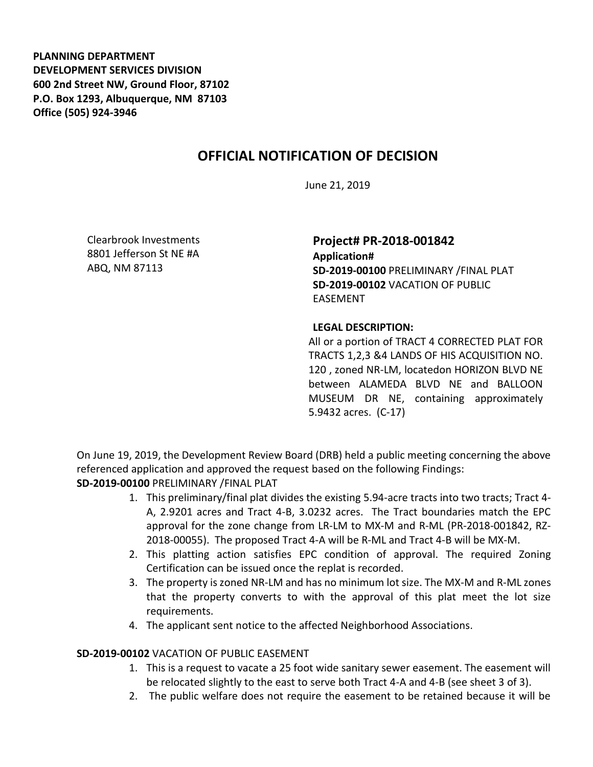**PLANNING DEPARTMENT DEVELOPMENT SERVICES DIVISION 600 2nd Street NW, Ground Floor, 87102 P.O. Box 1293, Albuquerque, NM 87103 Office (505) 924-3946** 

## **OFFICIAL NOTIFICATION OF DECISION**

June 21, 2019

Clearbrook Investments 8801 Jefferson St NE #A ABQ, NM 87113

**Project# PR-2018-001842**

**Application# SD-2019-00100** PRELIMINARY /FINAL PLAT **SD-2019-00102** VACATION OF PUBLIC EASEMENT

## **LEGAL DESCRIPTION:**

All or a portion of TRACT 4 CORRECTED PLAT FOR TRACTS 1,2,3 &4 LANDS OF HIS ACQUISITION NO. 120 , zoned NR-LM, locatedon HORIZON BLVD NE between ALAMEDA BLVD NE and BALLOON MUSEUM DR NE, containing approximately 5.9432 acres. (C-17)

On June 19, 2019, the Development Review Board (DRB) held a public meeting concerning the above referenced application and approved the request based on the following Findings: **SD-2019-00100** PRELIMINARY /FINAL PLAT

- 1. This preliminary/final plat divides the existing 5.94-acre tracts into two tracts; Tract 4- A, 2.9201 acres and Tract 4-B, 3.0232 acres. The Tract boundaries match the EPC approval for the zone change from LR-LM to MX-M and R-ML (PR-2018-001842, RZ-2018-00055). The proposed Tract 4-A will be R-ML and Tract 4-B will be MX-M.
- 2. This platting action satisfies EPC condition of approval. The required Zoning Certification can be issued once the replat is recorded.
- 3. The property is zoned NR-LM and has no minimum lot size. The MX-M and R-ML zones that the property converts to with the approval of this plat meet the lot size requirements.
- 4. The applicant sent notice to the affected Neighborhood Associations.

## **SD-2019-00102** VACATION OF PUBLIC EASEMENT

- 1. This is a request to vacate a 25 foot wide sanitary sewer easement. The easement will be relocated slightly to the east to serve both Tract 4-A and 4-B (see sheet 3 of 3).
- 2. The public welfare does not require the easement to be retained because it will be